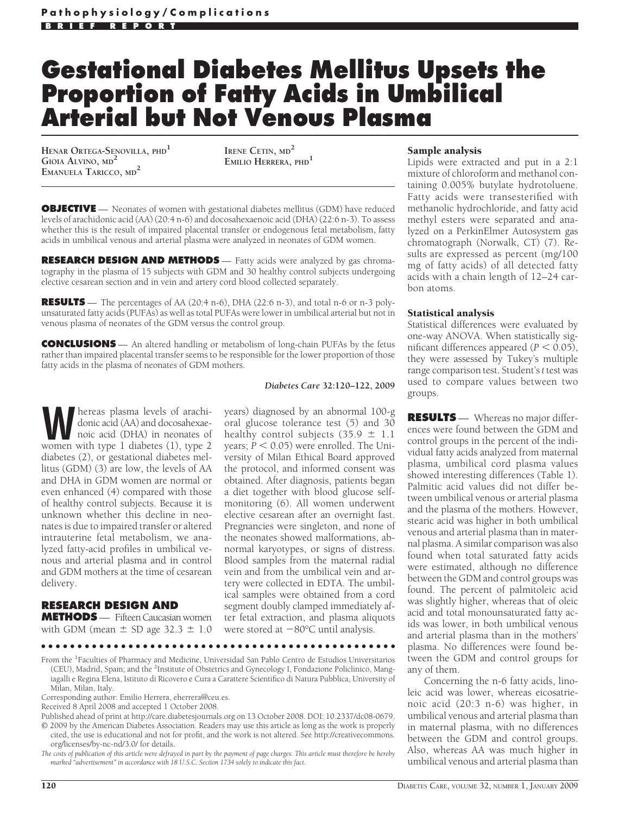# **Gestational Diabetes Mellitus Upsets the Proportion of Fatty Acids in Umbilical Arterial but Not Venous Plasma**

**HENAR ORTEGA-SENOVILLA, PHD<sup>1</sup> GIOIA ALVINO, MD<sup>2</sup> EMANUELA TARICCO, MD<sup>2</sup>**

**IRENE CETIN, MD<sup>2</sup> EMILIO HERRERA, PHD<sup>1</sup>**

**OBJECTIVE** — Neonates of women with gestational diabetes mellitus (GDM) have reduced levels of arachidonic acid (AA) (20:4 n-6) and docosahexaenoic acid (DHA) (22:6 n-3). To assess whether this is the result of impaired placental transfer or endogenous fetal metabolism, fatty acids in umbilical venous and arterial plasma were analyzed in neonates of GDM women.

**RESEARCH DESIGN AND METHODS** — Fatty acids were analyzed by gas chromatography in the plasma of 15 subjects with GDM and 30 healthy control subjects undergoing elective cesarean section and in vein and artery cord blood collected separately.

**RESULTS** — The percentages of AA (20:4 n-6), DHA (22:6 n-3), and total n-6 or n-3 polyunsaturated fatty acids (PUFAs) as well as total PUFAs were lower in umbilical arterial but not in venous plasma of neonates of the GDM versus the control group.

**CONCLUSIONS** — An altered handling or metabolism of long-chain PUFAs by the fetus rather than impaired placental transfer seems to be responsible for the lower proportion of those fatty acids in the plasma of neonates of GDM mothers.

#### *Diabetes Care* **32:120–122, 2009**

years) diagnosed by an abnormal 100-g oral glucose tolerance test (5) and 30 healthy control subjects  $(35.9 \pm 1.1)$ years;  $P < 0.05$ ) were enrolled. The University of Milan Ethical Board approved the protocol, and informed consent was obtained. After diagnosis, patients began a diet together with blood glucose selfmonitoring (6). All women underwent elective cesarean after an overnight fast. Pregnancies were singleton, and none of the neonates showed malformations, abnormal karyotypes, or signs of distress. Blood samples from the maternal radial vein and from the umbilical vein and ar-

**WALLICE SET ARE SET ASSESS**<br>
MONOIC acid (AA) and docosahexae-<br>
noic acid (DHA) in neonates of<br>
women with type 1 diabetes (1) type 2 donic acid (AA) and docosahexaewomen with type 1 diabetes (1), type 2 diabetes (2), or gestational diabetes mellitus (GDM) (3) are low, the levels of AA and DHA in GDM women are normal or even enhanced (4) compared with those of healthy control subjects. Because it is unknown whether this decline in neonates is due to impaired transfer or altered intrauterine fetal metabolism, we analyzed fatty-acid profiles in umbilical venous and arterial plasma and in control and GDM mothers at the time of cesarean delivery.

#### **RESEARCH DESIGN AND**

**METHODS** — Fifteen Caucasian women with GDM (mean  $\pm$  SD age 32.3  $\pm$  1.0

tery were collected in EDTA. The umbilical samples were obtained from a cord segment doubly clamped immediately after fetal extraction, and plasma aliquots were stored at  $-80^{\circ}$ C until analysis. ●●●●●●●●●●●●●●●●●●●●●●●●●●●●●●●●●●●●●●●●●●●●●●●●● From the <sup>1</sup>Faculties of Pharmacy and Medicine, Universidad San Pablo Centro de Estudios Universitarios

(CEU), Madrid, Spain; and the <sup>2</sup>Institute of Obstetrics and Gynecology I, Fondazione Policlinico, Mangiagalli e Regina Elena, Istituto di Ricovero e Cura a Carattere Scientifico di Natura Pubblica, University of Milan, Milan, Italy.

Corresponding author: Emilio Herrera, eherrera@ceu.es.

Published ahead of print at http://care.diabetesjournals.org on 13 October 2008. DOI: 10.2337/dc08-0679. © 2009 by the American Diabetes Association. Readers may use this article as long as the work is properly cited, the use is educational and not for profit, and the work is not altered. See http://creativecommons. org/licenses/by-nc-nd/3.0/ for details.

*The costs of publication of this article were defrayed in part by the payment of page charges. This article must therefore be hereby marked "advertisement" in accordance with 18 U.S.C. Section 1734 solely to indicate this fact.*

# Sample analysis

Lipids were extracted and put in a 2:1 mixture of chloroform and methanol containing 0.005% butylate hydrotoluene. Fatty acids were transesterified with methanolic hydrochloride, and fatty acid methyl esters were separated and analyzed on a PerkinElmer Autosystem gas chromatograph (Norwalk, CT) (7). Results are expressed as percent (mg/100 mg of fatty acids) of all detected fatty acids with a chain length of 12–24 carbon atoms.

# Statistical analysis

Statistical differences were evaluated by one-way ANOVA. When statistically significant differences appeared  $(P < 0.05)$ , they were assessed by Tukey's multiple range comparison test. Student's*t* test was used to compare values between two groups.

**RESULTS** — Whereas no major differences were found between the GDM and control groups in the percent of the individual fatty acids analyzed from maternal plasma, umbilical cord plasma values showed interesting differences (Table 1). Palmitic acid values did not differ between umbilical venous or arterial plasma and the plasma of the mothers. However, stearic acid was higher in both umbilical venous and arterial plasma than in maternal plasma. A similar comparison was also found when total saturated fatty acids were estimated, although no difference between the GDM and control groups was found. The percent of palmitoleic acid was slightly higher, whereas that of oleic acid and total monounsaturated fatty acids was lower, in both umbilical venous and arterial plasma than in the mothers' plasma. No differences were found between the GDM and control groups for any of them.

Concerning the n-6 fatty acids, linoleic acid was lower, whereas eicosatrienoic acid (20:3 n-6) was higher, in umbilical venous and arterial plasma than in maternal plasma, with no differences between the GDM and control groups. Also, whereas AA was much higher in umbilical venous and arterial plasma than

Received 8 April 2008 and accepted 1 October 2008.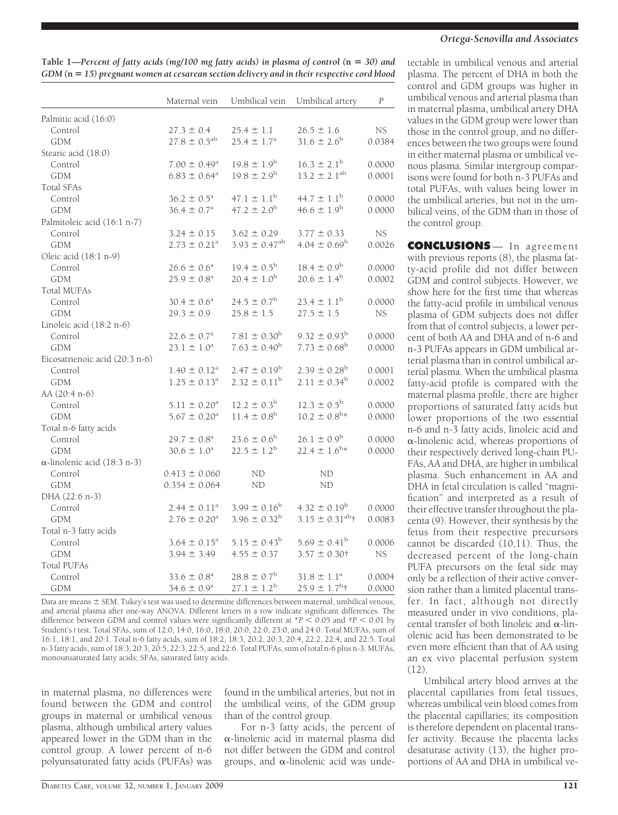**Table 1—***Percent of fatty acids (mg/100 mg fatty acids) in plasma of control (***n** *30) and GDM (***n** *15) pregnant women at cesarean section delivery and in their respective cord blood*

|                                     | Maternal vein                | Umbilical vein                | Umbilical artery           | $\cal P$ |
|-------------------------------------|------------------------------|-------------------------------|----------------------------|----------|
| Palmitic acid (16:0)                |                              |                               |                            |          |
| Control                             | $27.3 \pm 0.4$               | $25.4 \pm 1.1$                | $26.5 \pm 1.6$             | NS.      |
| <b>GDM</b>                          | $27.8 \pm 0.5^{ab}$          | $25.4 \pm 1.7^a$              | $31.6 \pm 2.6^{\rm b}$     | 0.0384   |
| Stearic acid (18:0)                 |                              |                               |                            |          |
| Control                             | $7.00 \pm 0.49^{\mathrm{a}}$ | $19.8 \pm 1.9^{\rm b}$        | $16.3 \pm 2.1^{\rm b}$     | 0.0000   |
| <b>GDM</b>                          | $6.83 \pm 0.64$ <sup>a</sup> | $19.8 \pm 2.9^{\rm b}$        | $13.2 \pm 2.1^{ab}$        | 0.0001   |
| <b>Total SFAs</b>                   |                              |                               |                            |          |
| Control                             | $36.2 \pm 0.5^{\text{a}}$    | $47.1 \pm 1.1^{\rm b}$        | $44.7 \pm 1.1^{\rm b}$     | 0.0000   |
| <b>GDM</b>                          | $36.4 \pm 0.7^{\rm a}$       | $47.2 \pm 2.0^{\rm b}$        | $46.6 \pm 1.9^b$           | 0.0000   |
| Palmitoleic acid (16:1 n-7)         |                              |                               |                            |          |
| Control                             | $3.24 \pm 0.15$              | $3.62 \pm 0.29$               | $3.77 \pm 0.33$            | NS.      |
| <b>GDM</b>                          | $2.73 \pm 0.21$ <sup>a</sup> | $3.93 \pm 0.47$ <sup>ab</sup> | $4.04 \pm 0.69^{\rm b}$    | 0.0026   |
| Oleic acid (18:1 n-9)               |                              |                               |                            |          |
| Control                             | $26.6 \pm 0.6^a$             | $19.4 \pm 0.5^{\rm b}$        | $18.4 \pm 0.9^{\rm b}$     | 0.0000   |
| <b>GDM</b>                          | $25.9 \pm 0.8^{\text{a}}$    | $20.4 \pm 1.0^{\rm b}$        | $20.6 \pm 1.4^{\rm b}$     | 0.0002   |
| <b>Total MUFAs</b>                  |                              |                               |                            |          |
| Control                             | $30.4 \pm 0.6^{\circ}$       | $24.5 \pm 0.7^{\rm b}$        | $23.4 \pm 1.1^{\rm b}$     | 0.0000   |
| <b>GDM</b>                          | $29.3 \pm 0.9$               | $25.8 \pm 1.5$                | $27.5 \pm 1.5$             | NS       |
| Linoleic acid (18:2 n-6)            |                              |                               |                            |          |
| Control                             | $22.6 \pm 0.7^a$             | $7.81 \pm 0.30^{\rm b}$       | $9.32 \pm 0.93^{\rm b}$    | 0.0000   |
| <b>GDM</b>                          | $23.1 \pm 1.0^a$             | $7.63 \pm 0.40^{\rm b}$       | $7.73 \pm 0.68^{\rm b}$    | 0.0000   |
| Eicosatrienoic acid (20:3 n-6)      |                              |                               |                            |          |
| Control                             | $1.40 \pm 0.12^a$            | $2.47 \pm 0.19^{\rm b}$       | $2.39 \pm 0.28^{\rm b}$    | 0.0001   |
| <b>GDM</b>                          | $1.25 \pm 0.13^a$            | $2.32 \pm 0.11^{\rm b}$       | $2.11 \pm 0.34^{\rm b}$    | 0.0002   |
| AA (20:4 n-6)                       |                              |                               |                            |          |
| Control                             | $5.11 \pm 0.20^{\text{a}}$   | $12.2 \pm 0.3^{\rm b}$        | $12.3 \pm 0.5^{\rm b}$     | 0.0000   |
| <b>GDM</b>                          | $5.67 \pm 0.20^{\text{a}}$   | $11.4 \pm 0.8$ <sup>b</sup>   | $10.2 \pm 0.8^{\text{b}}*$ | 0.0000   |
| Total n-6 fatty acids               |                              |                               |                            |          |
| Control                             | $29.7 \pm 0.8^{\text{a}}$    | $23.6 \pm 0.6^{\rm b}$        | $26.1 \pm 0.9^{\rm b}$     | 0.0000   |
| <b>GDM</b>                          | $30.6 \pm 1.0^a$             | $22.5 \pm 1.2^{\rm b}$        | $22.4 \pm 1.6^{\text{b}}*$ | 0.0000   |
| $\alpha$ -linolenic acid (18:3 n-3) |                              |                               |                            |          |
| Control                             | $0.413 \pm 0.060$            | <b>ND</b>                     | ND                         |          |
| <b>GDM</b>                          | $0.354 \pm 0.064$            | ND                            | ND                         |          |
| DHA (22:6 n-3)                      |                              |                               |                            |          |
| Control                             | $2.44 \pm 0.11^a$            | $3.99 \pm 0.16^{\rm b}$       | $4.32 \pm 0.19^{\rm b}$    | 0.0000   |
| <b>GDM</b>                          | $2.76 \pm 0.20^a$            | $3.96 \pm 0.32^{\rm b}$       | $3.15 \pm 0.31^{ab}$ †     | 0.0083   |
| Total n-3 fatty acids               |                              |                               |                            |          |
| Control                             | $3.64 \pm 0.15^a$            | $5.15 \pm 0.43^{\rm b}$       | $5.69 \pm 0.41^{\rm b}$    | 0.0006   |
| <b>GDM</b>                          | $3.94 \pm 3.49$              | $4.55 \pm 0.37$               | $3.57 \pm 0.30$ †          | NS.      |
| <b>Total PUFAs</b>                  |                              |                               |                            |          |
| Control                             | $33.6 \pm 0.8^a$             | $28.8 \pm 0.7^{\rm b}$        | $31.8 \pm 1.1^a$           | 0.0004   |
| <b>GDM</b>                          | $34.6 \pm 0.9^{\circ}$       | $27.1 \pm 1.2^b$              | $25.9 \pm 1.7^{\rm b}$ †   | 0.0000   |

Data are means  $\pm$  SEM. Tukey's test was used to determine differences between maternal, umbilical venous, and arterial plasma after one-way ANOVA. Different letters in a row indicate significant differences. The difference between GDM and control values were significantly different at  $*P < 0.05$  and  $\uparrow P < 0.01$  by Student's *t* test. Total SFAs, sum of 12:0, 14:0, 16:0, 18:0, 20:0, 22:0, 23:0, and 24:0. Total MUFAs, sum of 16:1, 18:1, and 20:1. Total n-6 fatty acids, sum of 18:2, 18:3, 20:2, 20:3, 20:4, 22:2, 22:4, and 22:5. Total n-3 fatty acids, sum of 18:3, 20:3, 20:5, 22:3, 22:5, and 22:6. Total PUFAs, sum of total n-6 plus n-3. MUFAs, monounsaturated fatty acids; SFAs, saturated fatty acids.

in maternal plasma, no differences were found between the GDM and control groups in maternal or umbilical venous plasma, although umbilical artery values appeared lower in the GDM than in the control group. A lower percent of n-6 polyunsaturated fatty acids (PUFAs) was

found in the umbilical arteries, but not in the umbilical veins, of the GDM group than of the control group.

For n-3 fatty acids, the percent of  $\alpha$ -linolenic acid in maternal plasma did not differ between the GDM and control groups, and  $\alpha$ -linolenic acid was unde-

## *Ortega-Senovilla and Associates*

tectable in umbilical venous and arterial plasma. The percent of DHA in both the control and GDM groups was higher in umbilical venous and arterial plasma than in maternal plasma, umbilical artery DHA values in the GDM group were lower than those in the control group, and no differences between the two groups were found in either maternal plasma or umbilical venous plasma. Similar intergroup comparisons were found for both n-3 PUFAs and total PUFAs, with values being lower in the umbilical arteries, but not in the umbilical veins, of the GDM than in those of the control group.

**CONCLUSIONS** — In agreement with previous reports (8), the plasma fatty-acid profile did not differ between GDM and control subjects. However, we show here for the first time that whereas the fatty-acid profile in umbilical venous plasma of GDM subjects does not differ from that of control subjects, a lower percent of both AA and DHA and of n-6 and n-3 PUFAs appears in GDM umbilical arterial plasma than in control umbilical arterial plasma. When the umbilical plasma fatty-acid profile is compared with the maternal plasma profile, there are higher proportions of saturated fatty acids but lower proportions of the two essential n-6 and n-3 fatty acids, linoleic acid and  $\alpha$ -linolenic acid, whereas proportions of their respectively derived long-chain PU-FAs, AA and DHA, are higher in umbilical plasma. Such enhancement in AA and DHA in fetal circulation is called "magnification" and interpreted as a result of their effective transfer throughout the placenta (9). However, their synthesis by the fetus from their respective precursors cannot be discarded (10,11). Thus, the decreased percent of the long-chain PUFA precursors on the fetal side may only be a reflection of their active conversion rather than a limited placental transfer. In fact, although not directly measured under in vivo conditions, placental transfer of both linoleic and  $\alpha$ -linolenic acid has been demonstrated to be even more efficient than that of AA using an ex vivo placental perfusion system (12).

Umbilical artery blood arrives at the placental capillaries from fetal tissues, whereas umbilical vein blood comes from the placental capillaries; its composition is therefore dependent on placental transfer activity. Because the placenta lacks desaturase activity (13), the higher proportions of AA and DHA in umbilical ve-